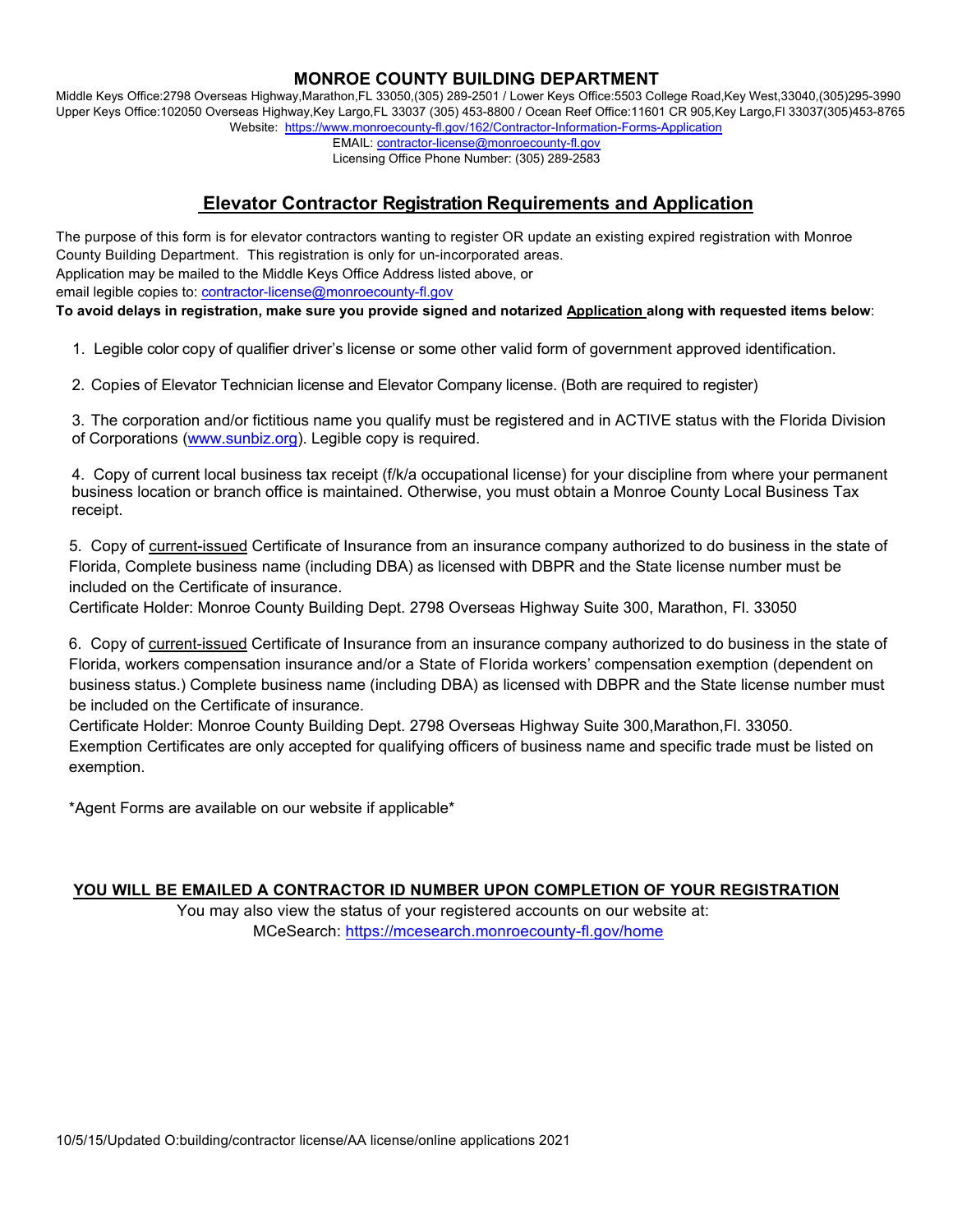## **MONROE COUNTY BUILDING DEPARTMENT**

Middle Keys Office:2798 Overseas Highway,Marathon,FL 33050,(305) 289-2501 / Lower Keys Office:5503 College Road,Key West,33040,(305)295-3990 Upper Keys Office:102050 Overseas Highway,Key Largo,FL 33037 (305) 453-8800 / Ocean Reef Office:11601 CR 905,Key Largo,Fl 33037(305)453-8765 Website: https://www.monroecounty-fl.gov/162/Contractor-Information-Forms-Application

EMAIL: contractor-license@monroecounty-fl.gov

### Licensing Office Phone Number: (305) 289-2583

# **Elevator Contractor Registration Requirements and Application**

The purpose of this form is for elevator contractors wanting to register OR update an existing expired registration with Monroe County Building Department. This registration is only for un-incorporated areas. Application may be mailed to the Middle Keys Office Address listed above, or email legible copies to: contractor-license@monroecounty-fl.gov **To avoid delays in registration, make sure you provide signed and notarized Application along with requested items below**:

1. Legible color copy of qualifier driver's license or some other valid form of government approved identification.

2. Copies of Elevator Technician license and Elevator Company license. (Both are required to register)

3. The corporation and/or fictitious name you qualify must be registered and in ACTIVE status with the Florida Division of Corporations (www.sunbiz.org). Legible copy is required.

4. Copy of current local business tax receipt (f/k/a occupational license) for your discipline from where your permanent business location or branch office is maintained. Otherwise, you must obtain a Monroe County Local Business Tax receipt.

 5. Copy of current-issued Certificate of Insurance from an insurance company authorized to do business in the state of Florida, Complete business name (including DBA) as licensed with DBPR and the State license number must be included on the Certificate of insurance.

Certificate Holder: Monroe County Building Dept. 2798 Overseas Highway Suite 300, Marathon, Fl. 33050

 6. Copy of current-issued Certificate of Insurance from an insurance company authorized to do business in the state of Florida, workers compensation insurance and/or a State of Florida workers' compensation exemption (dependent on business status.) Complete business name (including DBA) as licensed with DBPR and the State license number must be included on the Certificate of insurance.

 Certificate Holder: Monroe County Building Dept. 2798 Overseas Highway Suite 300,Marathon,Fl. 33050. Exemption Certificates are only accepted for qualifying officers of business name and specific trade must be listed on exemption.

\*Agent Forms are available on our website if applicable\*

## **YOU WILL BE EMAILED A CONTRACTOR ID NUMBER UPON COMPLETION OF YOUR REGISTRATION**

 You may also view the status of your registered accounts on our website at: MCeSearch: https://mcesearch.monroecounty-fl.gov/home